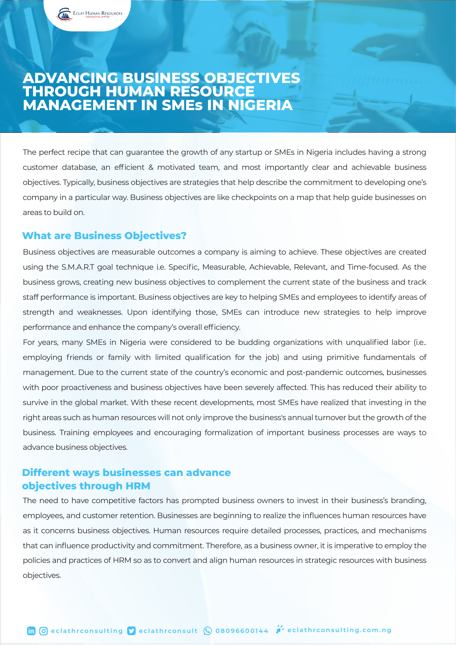## **ADVANCING BUSINESS OBJECTIVES THROUGH HUMAN RESOURCE MANAGEMENT IN SMEs IN NIGERIA**

The perfect recipe that can guarantee the growth of any startup or SMEs in Nigeria includes having a strong customer database, an efficient & motivated team, and most importantly clear and achievable business objectives. Typically, business objectives are strategies that help describe the commitment to developing one's company in a particular way. Business objectives are like checkpoints on a map that help guide businesses on areas to build on.

## **What are Business Objectives?**

ECLAT HUMAN RESOURCES

Business objectives are measurable outcomes a company is aiming to achieve. These objectives are created using the S.M.A.R.T goal technique i.e. Specific, Measurable, Achievable, Relevant, and Time-focused. As the business grows, creating new business objectives to complement the current state of the business and track staff performance is important. Business objectives are key to helping SMEs and employees to identify areas of strength and weaknesses. Upon identifying those, SMEs can introduce new strategies to help improve performance and enhance the company's overall efficiency.

For years, many SMEs in Nigeria were considered to be budding organizations with unqualified labor (i.e.. employing friends or family with limited qualification for the job) and using primitive fundamentals of management. Due to the current state of the country's economic and post-pandemic outcomes, businesses with poor proactiveness and business objectives have been severely affected. This has reduced their ability to survive in the global market. With these recent developments, most SMEs have realized that investing in the right areas such as human resources will not only improve the business's annual turnover but the growth of the business. Training employees and encouraging formalization of important business processes are ways to advance business objectives.

## **Different ways businesses can advance objectives through HRM**

The need to have competitive factors has prompted business owners to invest in their business's branding, employees, and customer retention. Businesses are beginning to realize the influences human resources have as it concerns business objectives. Human resources require detailed processes, practices, and mechanisms that can influence productivity and commitment. Therefore, as a business owner, it is imperative to employ the policies and practices of HRM so as to convert and align human resources in strategic resources with business objectives.